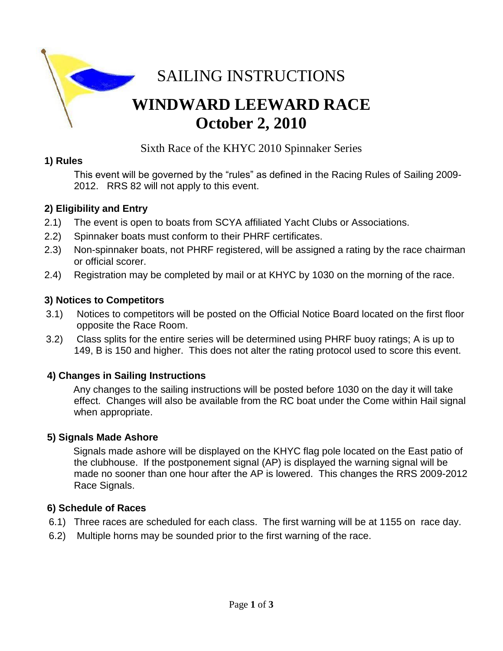

Sixth Race of the KHYC 2010 Spinnaker Series

### **1) Rules**

This event will be governed by the "rules" as defined in the Racing Rules of Sailing 2009- 2012. RRS 82 will not apply to this event.

### **2) Eligibility and Entry**

- 2.1) The event is open to boats from SCYA affiliated Yacht Clubs or Associations.
- 2.2) Spinnaker boats must conform to their PHRF certificates.
- 2.3) Non-spinnaker boats, not PHRF registered, will be assigned a rating by the race chairman or official scorer.
- 2.4) Registration may be completed by mail or at KHYC by 1030 on the morning of the race.

### **3) Notices to Competitors**

- 3.1) Notices to competitors will be posted on the Official Notice Board located on the first floor opposite the Race Room.
- 3.2) Class splits for the entire series will be determined using PHRF buoy ratings; A is up to 149, B is 150 and higher. This does not alter the rating protocol used to score this event.

### **4) Changes in Sailing Instructions**

Any changes to the sailing instructions will be posted before 1030 on the day it will take effect. Changes will also be available from the RC boat under the Come within Hail signal when appropriate.

#### **5) Signals Made Ashore**

 Signals made ashore will be displayed on the KHYC flag pole located on the East patio of the clubhouse. If the postponement signal (AP) is displayed the warning signal will be made no sooner than one hour after the AP is lowered. This changes the RRS 2009-2012 Race Signals.

#### **6) Schedule of Races**

- 6.1) Three races are scheduled for each class. The first warning will be at 1155 on race day.
- 6.2) Multiple horns may be sounded prior to the first warning of the race.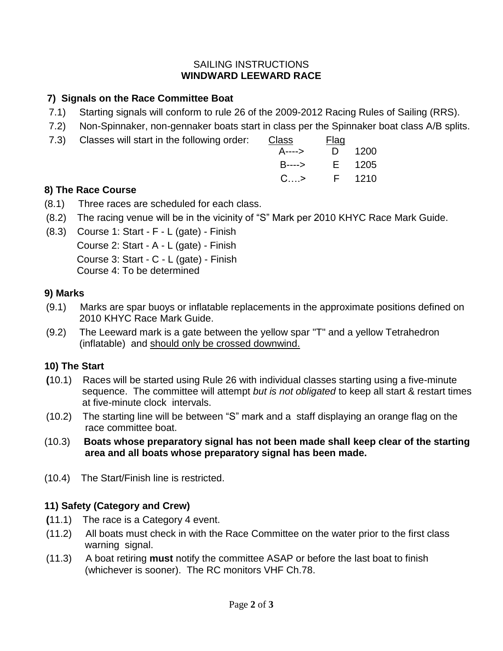#### SAILING INSTRUCTIONS **WINDWARD LEEWARD RACE**

# **7) Signals on the Race Committee Boat**

- 7.1) Starting signals will conform to rule 26 of the 2009-2012 Racing Rules of Sailing (RRS).
- 7.2) Non-Spinnaker, non-gennaker boats start in class per the Spinnaker boat class A/B splits.
- 7.3) Classes will start in the following order: Class Flagge

|                    | <b>Flag</b> |  |
|--------------------|-------------|--|
| A----> D 1200      |             |  |
| B----> E 1205      |             |  |
| $C_{\dots}$ F 1210 |             |  |
|                    |             |  |

## **8) The Race Course**

- (8.1) Three races are scheduled for each class.
- (8.2) The racing venue will be in the vicinity of "S" Mark per 2010 KHYC Race Mark Guide.
- (8.3) Course 1: Start F L (gate) Finish Course 2: Start - A - L (gate) - Finish Course 3: Start - C - L (gate) - Finish Course 4: To be determined

### **9) Marks**

- (9.1) Marks are spar buoys or inflatable replacements in the approximate positions defined on 2010 KHYC Race Mark Guide.
- (9.2) The Leeward mark is a gate between the yellow spar "T" and a yellow Tetrahedron (inflatable) and should only be crossed downwind.

# **10) The Start**

- **(**10.1) Races will be started using Rule 26 with individual classes starting using a five-minute sequence. The committee will attempt *but is not obligated* to keep all start & restart times at five-minute clock intervals.
- (10.2) The starting line will be between "S" mark and a staff displaying an orange flag on the race committee boat.
- (10.3) **Boats whose preparatory signal has not been made shall keep clear of the starting area and all boats whose preparatory signal has been made.**
- (10.4) The Start/Finish line is restricted.

# **11) Safety (Category and Crew)**

- **(**11.1) The race is a Category 4 event.
- (11.2) All boats must check in with the Race Committee on the water prior to the first class warning signal.
- (11.3) A boat retiring **must** notify the committee ASAP or before the last boat to finish (whichever is sooner). The RC monitors VHF Ch.78.